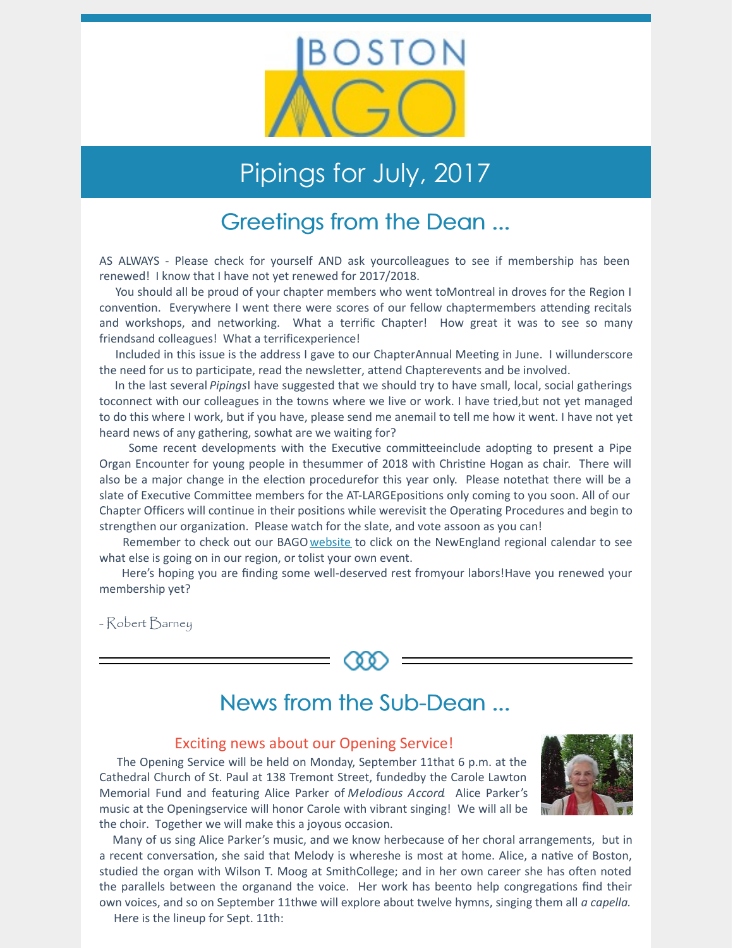

# Pipings for July, 2017

### Greetings from the Dean ...

AS ALWAYS - Please check for yourself AND ask yourcolleagues to see if membership has been renewed! I know that I have not yet renewed for 2017/2018.

You should all be proud of your chapter members who went toMontreal in droves for the Region I convention. Everywhere I went there were scores of our fellow chaptermembers attending recitals and workshops, and networking. What a terrific Chapter! How great it was to see so many friendsand colleagues! What a terrificexperience!

Included in this issue is the address I gave to our ChapterAnnual Meeting in June. I willunderscore the need for us to participate, read the newsletter, attend Chapterevents and be involved.

In the last several *Pipings*I have suggested that we should try to have small, local, social gatherings toconnect with our colleagues in the towns where we live or work. I have tried,but not yet managed to do this where I work, but if you have, please send me anemail to tell me how it went. I have not yet heard news of any gathering, sowhat are we waiting for?

Some recent developments with the Executive committeeinclude adopting to present a Pipe Organ Encounter for young people in thesummer of 2018 with Christine Hogan as chair. There will also be a major change in the election procedurefor this year only. Please notethat there will be a slate of Executive Committee members for the AT-LARGEpositions only coming to you soon. All of our Chapter Officers will continue in their positions while werevisit the Operating Procedures and begin to strengthen our organization. Please watch for the slate, and vote assoon as you can!

Remember to check out our BAGO [website](http://www.bostonago.org) to click on the NewEngland regional calendar to see what else is going on in our region, or tolist your own event.

Here's hoping you are finding some well-deserved rest fromyour labors!Have you renewed your membership yet?

- Robert Barney



### News from the Sub-Dean ...

#### Exciting news about our Opening Service!

The Opening Service will be held on Monday, September 11that 6 p.m. at the Cathedral Church of St. Paul at 138 Tremont Street, fundedby the Carole Lawton Memorial Fund and featuring Alice Parker of *Melodious Accord*. Alice Parker's music at the Openingservice will honor Carole with vibrant singing! We will all be the choir. Together we will make this a joyous occasion.



Many of us sing Alice Parker's music, and we know herbecause of her choral arrangements, but in a recent conversation, she said that Melody is whereshe is most at home. Alice, a native of Boston, studied the organ with Wilson T. Moog at SmithCollege; and in her own career she has often noted the parallels between the organand the voice. Her work has beento help congregations find their own voices, and so on September 11thwe will explore about twelve hymns, singing them all *a capella.*

Here is the lineup for Sept. 11th: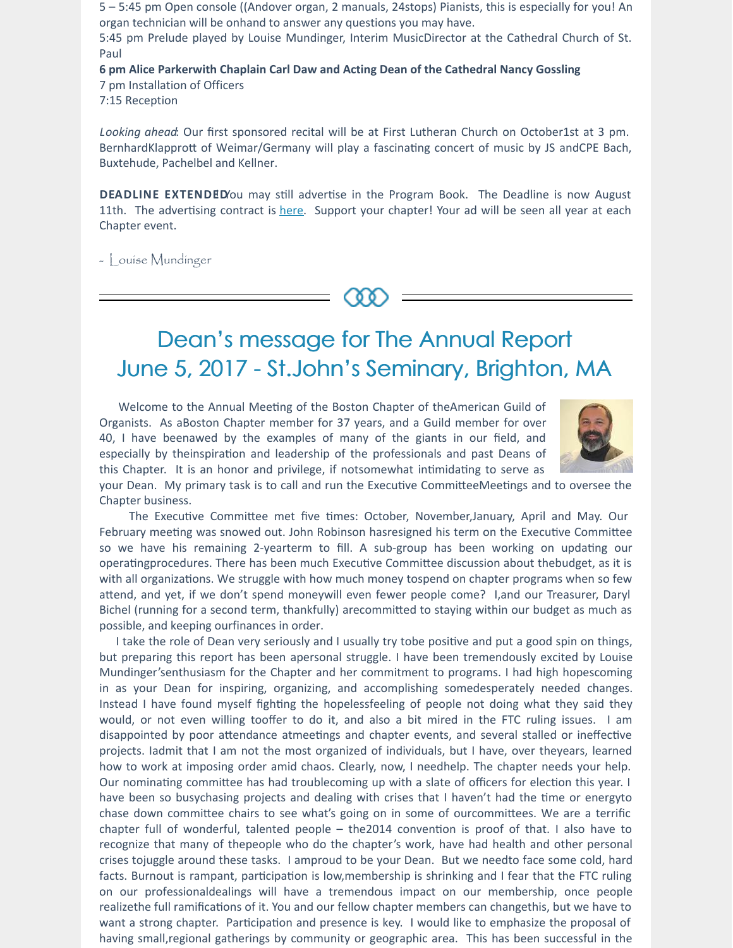5 – 5:45 pm Open console ((Andover organ, 2 manuals, 24stops) Pianists, this is especially for you! An organ technician will be onhand to answer any questions you may have.

5:45 pm Prelude played by Louise Mundinger, Interim MusicDirector at the Cathedral Church of St. Paul

**6 pm Alice Parkerwith Chaplain Carl Daw and Acting Dean of the Cathedral Nancy Gossling**

7 pm Installation of Officers

7:15 Reception

*Looking ahead*: Our first sponsored recital will be at First Lutheran Church on October1st at 3 pm. BernhardKlapprott of Weimar/Germany will play a fascinating concert of music by JS andCPE Bach, Buxtehude, Pachelbel and Kellner.

**DEADLINE EXTENDED** You may still advertise in the Program Book. The Deadline is now August 11th. The advertising contract is [here](http://www.bostonago.org/wp-content/uploads/2017/07/AdvertisingContract.pdf). Support your chapter! Your ad will be seen all year at each Chapter event.

- Louise Mundinger



## Dean's message for The Annual Report June 5, 2017 - St.John's Seminary, Brighton, MA

Welcome to the Annual Meeting of the Boston Chapter of theAmerican Guild of Organists. As aBoston Chapter member for 37 years, and a Guild member for over 40, I have beenawed by the examples of many of the giants in our field, and especially by theinspiration and leadership of the professionals and past Deans of this Chapter. It is an honor and privilege, if notsomewhat intimidating to serve as



your Dean. My primary task is to call and run the Executive CommitteeMeetings and to oversee the Chapter business.

The Executive Committee met five times: October, November,January, April and May. Our February meeting was snowed out. John Robinson hasresigned his term on the Executive Committee so we have his remaining 2-yearterm to fill. A sub-group has been working on updating our operatingprocedures. There has been much Executive Committee discussion about thebudget, as it is with all organizations. We struggle with how much money tospend on chapter programs when so few attend, and yet, if we don't spend moneywill even fewer people come? I,and our Treasurer, Daryl Bichel (running for a second term, thankfully) arecommitted to staying within our budget as much as possible, and keeping ourfinances in order.

I take the role of Dean very seriously and I usually try tobe positive and put a good spin on things, but preparing this report has been apersonal struggle. I have been tremendously excited by Louise Mundinger'senthusiasm for the Chapter and her commitment to programs. I had high hopescoming in as your Dean for inspiring, organizing, and accomplishing somedesperately needed changes. Instead I have found myself fighting the hopelessfeeling of people not doing what they said they would, or not even willing tooffer to do it, and also a bit mired in the FTC ruling issues. I am disappointed by poor attendance atmeetings and chapter events, and several stalled or ineffective projects. Iadmit that I am not the most organized of individuals, but I have, over theyears, learned how to work at imposing order amid chaos. Clearly, now, I needhelp. The chapter needs your help. Our nominating committee has had troublecoming up with a slate of officers for election this year. I have been so busychasing projects and dealing with crises that I haven't had the time or energyto chase down committee chairs to see what's going on in some of ourcommittees. We are a terrific chapter full of wonderful, talented people  $-$  the 2014 convention is proof of that. I also have to recognize that many of thepeople who do the chapter's work, have had health and other personal crises tojuggle around these tasks. I amproud to be your Dean. But we needto face some cold, hard facts. Burnout is rampant, participation is low,membership is shrinking and I fear that the FTC ruling on our professionaldealings will have a tremendous impact on our membership, once people realizethe full ramifications of it. You and our fellow chapter members can changethis, but we have to want a strong chapter. Participation and presence is key. I would like to emphasize the proposal of having small,regional gatherings by community or geographic area. This has been successful in the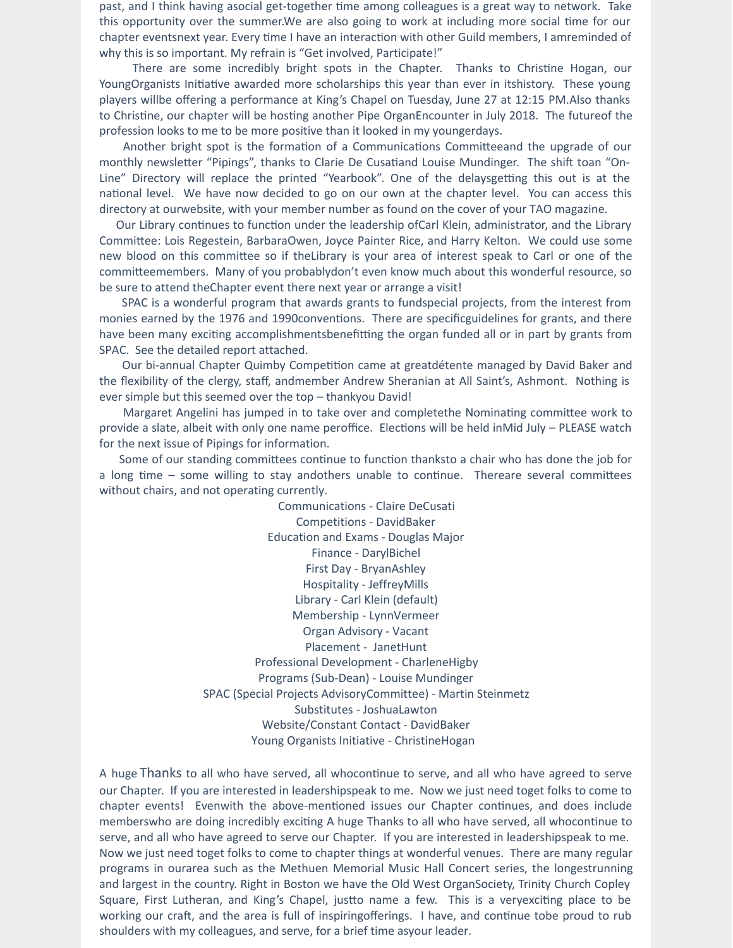past, and I think having asocial get-together time among colleagues is a great way to network. Take this opportunity over the summer. We are also going to work at including more social time for our chapter eventsnext year. Every time I have an interaction with other Guild members, I amreminded of why this is so important. My refrain is "Get involved, Participate!"

There are some incredibly bright spots in the Chapter. Thanks to Christine Hogan, our YoungOrganists Initiative awarded more scholarships this year than ever in itshistory. These young players willbe offering a performance at King's Chapel on Tuesday, June 27 at 12:15 PM.Also thanks to Christine, our chapter will be hosting another Pipe OrganEncounter in July 2018. The futureof the profession looks to me to be more positive than it looked in my youngerdays.

Another bright spot is the formation of a Communications Committeeand the upgrade of our monthly newsletter "Pipings", thanks to Clarie De Cusatiand Louise Mundinger. The shift toan "On-Line" Directory will replace the printed "Yearbook". One of the delaysgetting this out is at the national level. We have now decided to go on our own at the chapter level. You can access this directory at ourwebsite, with your member number as found on the cover of your TAO magazine.

Our Library continues to function under the leadership ofCarl Klein, administrator, and the Library Committee: Lois Regestein, BarbaraOwen, Joyce Painter Rice, and Harry Kelton. We could use some new blood on this committee so if theLibrary is your area of interest speak to Carl or one of the committeemembers. Many of you probablydon't even know much about this wonderful resource, so be sure to attend theChapter event there next year or arrange a visit!

SPAC is a wonderful program that awards grants to fundspecial projects, from the interest from monies earned by the 1976 and 1990 conventions. There are specific guidelines for grants, and there have been many exciting accomplishmentsbenefitting the organ funded all or in part by grants from SPAC. See the detailed report attached.

Our bi-annual Chapter Quimby Competition came at greatdétente managed by David Baker and the flexibility of the clergy, staff, andmember Andrew Sheranian at All Saint's, Ashmont. Nothing is ever simple but this seemed over the top – thankyou David!

Margaret Angelini has jumped in to take over and completethe Nominating committee work to provide a slate, albeit with only one name peroffice. Elections will be held inMid July – PLEASE watch for the next issue of Pipings for information.

Some of our standing committees continue to function thanksto a chair who has done the job for a long time – some willing to stay andothers unable to continue. Thereare several committees without chairs, and not operating currently.

> Communications - Claire DeCusati Competitions - DavidBaker Education and Exams - Douglas Major Finance - DarylBichel First Day - BryanAshley Hospitality - JeffreyMills Library - Carl Klein (default) Membership - LynnVermeer Organ Advisory - Vacant Placement - JanetHunt Professional Development - CharleneHigby Programs (Sub-Dean) - Louise Mundinger SPAC (Special Projects AdvisoryCommittee) - Martin Steinmetz Substitutes - JoshuaLawton Website/Constant Contact - DavidBaker Young Organists Initiative - ChristineHogan

A huge Thanks to all who have served, all whocontinue to serve, and all who have agreed to serve our Chapter. If you are interested in leadershipspeak to me. Now we just need toget folks to come to chapter events! Evenwith the above-mentioned issues our Chapter continues, and does include memberswho are doing incredibly exciting A huge Thanks to all who have served, all whocontinue to serve, and all who have agreed to serve our Chapter. If you are interested in leadershipspeak to me. Now we just need toget folks to come to chapter things at wonderful venues. There are many regular programs in ourarea such as the Methuen Memorial Music Hall Concert series, the longestrunning and largest in the country. Right in Boston we have the Old West OrganSociety, Trinity Church Copley Square, First Lutheran, and King's Chapel, justto name a few. This is a veryexciting place to be working our craft, and the area is full of inspiringofferings. I have, and continue tobe proud to rub shoulders with my colleagues, and serve, for a brief time asyour leader.